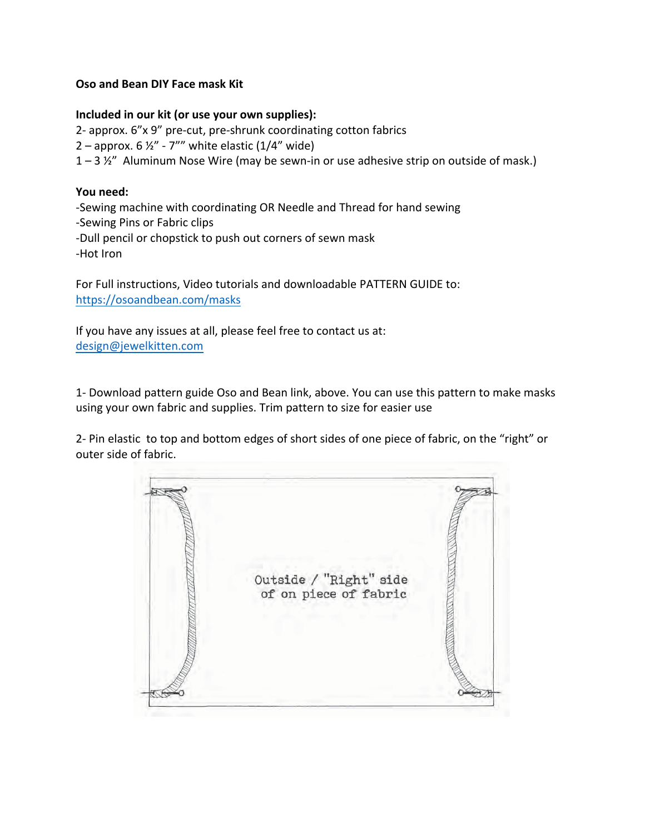# **Oso and Bean DIY Face mask Kit.**

#### **Included** in our kit (or use your own supplies):

2- approx. 6"x 9" pre-cut, pre-shrunk coordinating cotton fabrics 2 – approx.  $6\frac{1}{2}$ " - 7"" white elastic (1/4" wide)  $1 - 3 \frac{1}{2}$ " Aluminum Nose Wire (may be sewn-in or use adhesive strip on outside of mask.)

## **You need:**

-Sewing machine with coordinating OR Needle and Thread for hand sewing -Sewing Pins or Fabric clips -Dull pencil or chopstick to push out corners of sewn mask -Hot Iron

For Full instructions, Video tutorials and downloadable PATTERN GUIDE to: https://osoandbean.com/masks

If you have any issues at all, please feel free to contact us at: design@jewelkitten.com

1- Download pattern guide Oso and Bean link, above. You can use this pattern to make masks using your own fabric and supplies. Trim pattern to size for easier use

2- Pin elastic to top and bottom edges of short sides of one piece of fabric, on the "right" or outer side of fabric.

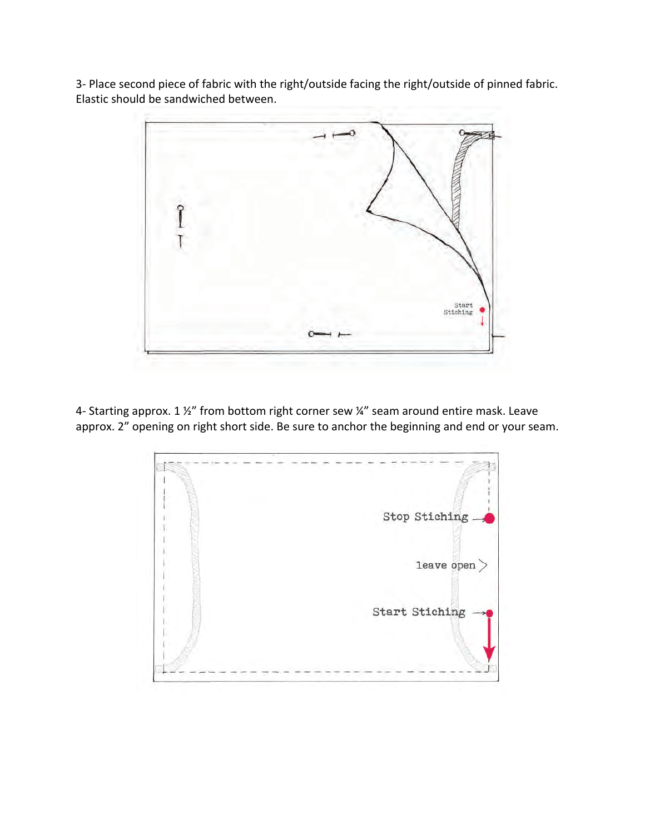3- Place second piece of fabric with the right/outside facing the right/outside of pinned fabric. Elastic should be sandwiched between.



4- Starting approx. 1  $\frac{1}{2}$ " from bottom right corner sew  $\frac{1}{4}$ " seam around entire mask. Leave approx. 2" opening on right short side. Be sure to anchor the beginning and end or your seam.

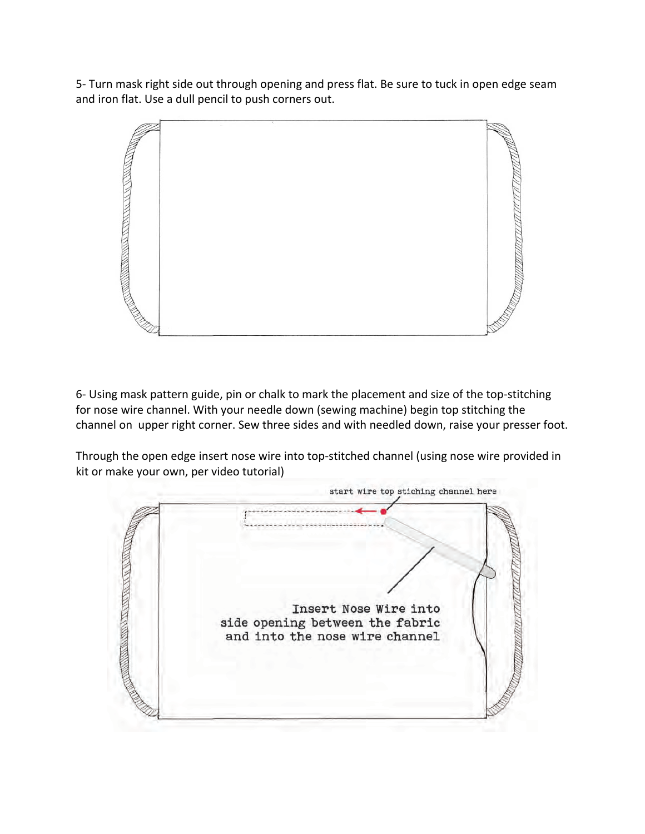5- Turn mask right side out through opening and press flat. Be sure to tuck in open edge seam and iron flat. Use a dull pencil to push corners out.



6- Using mask pattern guide, pin or chalk to mark the placement and size of the top-stitching for nose wire channel. With your needle down (sewing machine) begin top stitching the channel on upper right corner. Sew three sides and with needled down, raise your presser foot.

Through the open edge insert nose wire into top-stitched channel (using nose wire provided in kit or make your own, per video tutorial)

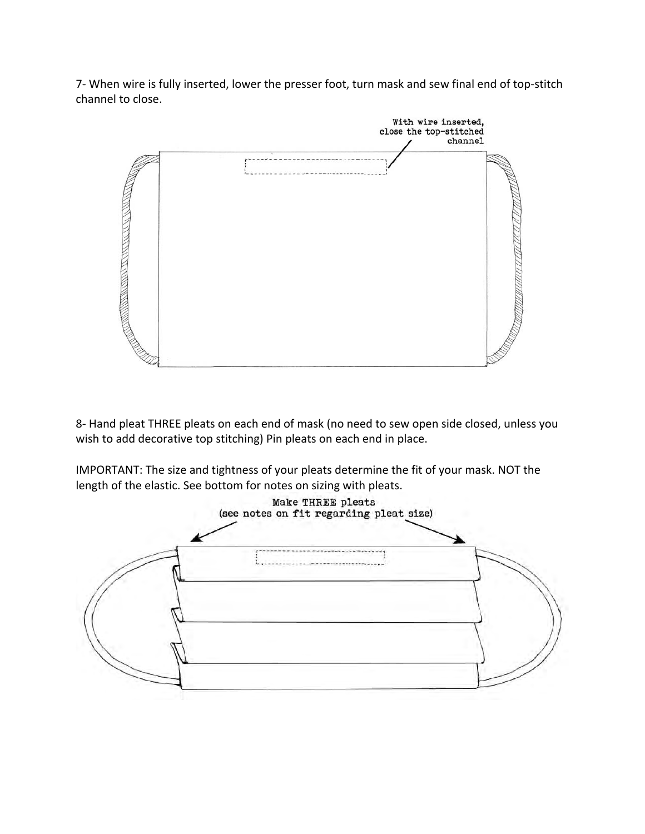7- When wire is fully inserted, lower the presser foot, turn mask and sew final end of top-stitch channel to close.



8- Hand pleat THREE pleats on each end of mask (no need to sew open side closed, unless you wish to add decorative top stitching) Pin pleats on each end in place.

IMPORTANT: The size and tightness of your pleats determine the fit of your mask. NOT the length of the elastic. See bottom for notes on sizing with pleats.

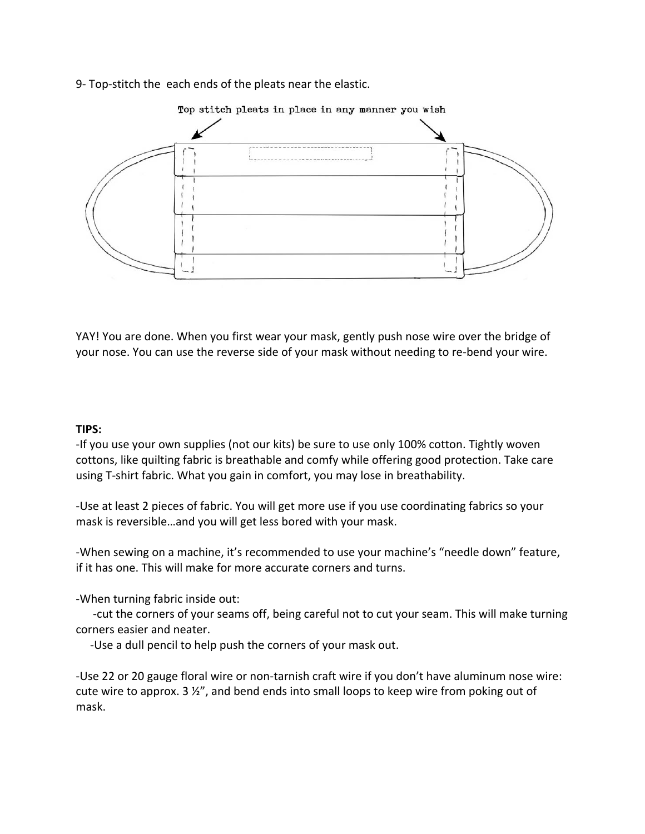9- Top-stitch the each ends of the pleats near the elastic.



YAY! You are done. When you first wear your mask, gently push nose wire over the bridge of your nose. You can use the reverse side of your mask without needing to re-bend your wire.

### **TIPS:**

-If you use your own supplies (not our kits) be sure to use only 100% cotton. Tightly woven cottons, like quilting fabric is breathable and comfy while offering good protection. Take care using T-shirt fabric. What you gain in comfort, you may lose in breathability.

-Use at least 2 pieces of fabric. You will get more use if you use coordinating fabrics so your mask is reversible...and you will get less bored with your mask.

-When sewing on a machine, it's recommended to use your machine's "needle down" feature, if it has one. This will make for more accurate corners and turns.

-When turning fabric inside out:

-cut the corners of your seams off, being careful not to cut your seam. This will make turning corners easier and neater.

-Use a dull pencil to help push the corners of your mask out.

-Use 22 or 20 gauge floral wire or non-tarnish craft wire if you don't have aluminum nose wire: cute wire to approx. 3  $\frac{1}{2}$ , and bend ends into small loops to keep wire from poking out of mask.